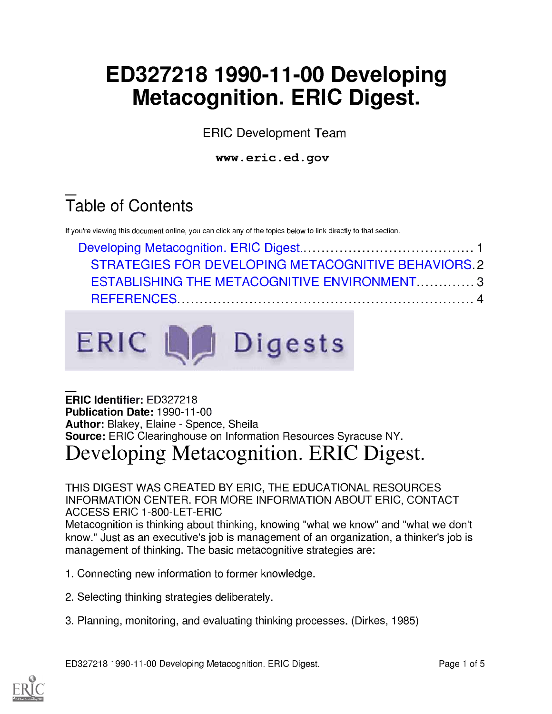# ED327218 1990-11-00 Developing Metacognition. ERIC Digest.

ERIC Development Team

www.eric.ed.gov

## Table of Contents

If you're viewing this document online, you can click any of the topics below to link directly to that section.

| STRATEGIES FOR DEVELOPING METACOGNITIVE BEHAVIORS 2 |  |
|-----------------------------------------------------|--|
| ESTABLISHING THE METACOGNITIVE ENVIRONMENT3         |  |
|                                                     |  |

# ERIC LA Digests

ERIC Identifier: ED327218 Publication Date: 1990-11-00 Author: Blakey, Elaine - Spence, Sheila Source: ERIC Clearinghouse on Information Resources Syracuse NY.

### Developing Metacognition. ERIC Digest.

THIS DIGEST WAS CREATED BY ERIC, THE EDUCATIONAL RESOURCES INFORMATION CENTER. FOR MORE INFORMATION ABOUT ERIC, CONTACT ACCESS ERIC 1-800-LET-ERIC

Metacognition is thinking about thinking, knowing "what we know" and "what we don't know." Just as an executive's job is management of an organization, a thinker's job is management of thinking. The basic metacognitive strategies are:

- 1. Connecting new information to former knowledge.
- 2. Selecting thinking strategies deliberately.
- 3. Planning, monitoring, and evaluating thinking processes. (Dirkes, 1985)

ED327218 1990-11-00 Developing Metacognition. ERIC Digest. Page 1 of 5

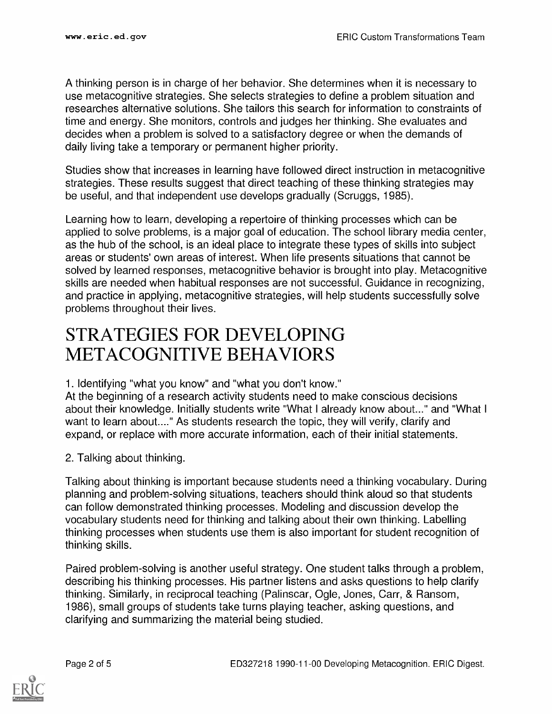A thinking person is in charge of her behavior. She determines when it is necessary to use metacognitive strategies. She selects strategies to define a problem situation and researches alternative solutions. She tailors this search for information to constraints of time and energy. She monitors, controls and judges her thinking. She evaluates and decides when a problem is solved to a satisfactory degree or when the demands of daily living take a temporary or permanent higher priority.

Studies show that increases in learning have followed direct instruction in metacognitive strategies. These results suggest that direct teaching of these thinking strategies may be useful, and that independent use develops gradually (Scruggs, 1985).

Learning how to learn, developing a repertoire of thinking processes which can be applied to solve problems, is a major goal of education. The school library media center, as the hub of the school, is an ideal place to integrate these types of skills into subject areas or students' own areas of interest. When life presents situations that cannot be solved by learned responses, metacognitive behavior is brought into play. Metacognitive skills are needed when habitual responses are not successful. Guidance in recognizing, and practice in applying, metacognitive strategies, will help students successfully solve problems throughout their lives.

#### STRATEGIES FOR DEVELOPING METACOGNITIVE BEHAVIORS

1. Identifying "what you know" and "what you don't know."

At the beginning of a research activity students need to make conscious decisions about their knowledge. Initially students write "What I already know about..." and "What I want to learn about...." As students research the topic, they will verify, clarify and expand, or replace with more accurate information, each of their initial statements.

2. Talking about thinking.

Talking about thinking is important because students need a thinking vocabulary. During planning and problem-solving situations, teachers should think aloud so that students can follow demonstrated thinking processes. Modeling and discussion develop the vocabulary students need for thinking and talking about their own thinking. Labelling thinking processes when students use them is also important for student recognition of thinking skills.

Paired problem-solving is another useful strategy. One student talks through a problem, describing his thinking processes. His partner listens and asks questions to help clarify thinking. Similarly, in reciprocal teaching (Palinscar, Ogle, Jones, Carr, & Ransom, 1986), small groups of students take turns playing teacher, asking questions, and clarifying and summarizing the material being studied.

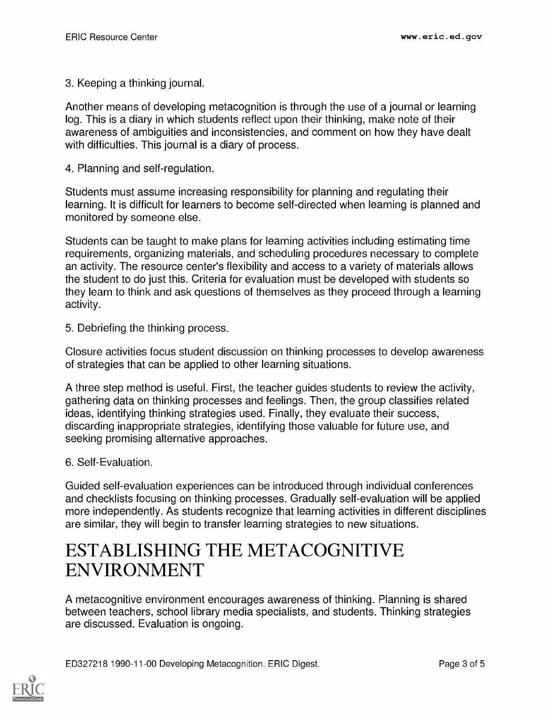3. Keeping a thinking journal.

Another means of developing metacognition is through the use of a journal or learning log. This is a diary in which students reflect upon their thinking, make note of their awareness of ambiguities and inconsistencies, and comment on how they have dealt with difficulties. This journal is a diary of process.

4. Planning and self-regulation.

Students must assume increasing responsibility for planning and regulating their learning. It is difficult for learners to become self-directed when learning is planned and monitored by someone else.

Students can be taught to make plans for learning activities including estimating time requirements, organizing materials, and scheduling procedures necessary to complete an activity. The resource center's flexibility and access to a variety of materials allows the student to do just this. Criteria for evaluation must be developed with students so they learn to think and ask questions of themselves as they proceed through a learning activity.

5. Debriefing the thinking process.

Closure activities focus student discussion on thinking processes to develop awareness of strategies that can be applied to other learning situations.

A three step method is useful. First, the teacher guides students to review the activity, gathering data on thinking processes and feelings. Then, the group classifies related ideas, identifying thinking strategies used. Finally, they evaluate their success, discarding inappropriate strategies, identifying those valuable for future use, and seeking promising alternative approaches.

6. Self-Evaluation.

Guided self-evaluation experiences can be introduced through individual conferences and checklists focusing on thinking processes. Gradually self-evaluation will be applied more independently. As students recognize that learning activities in different disciplines are similar, they will begin to transfer learning strategies to new situations.

#### ESTABLISHING THE METACOGNITIVE ENVIRONMENT

A metacognitive environment encourages awareness of thinking. Planning is shared between teachers, school library media specialists, and students. Thinking strategies are discussed. Evaluation is ongoing.

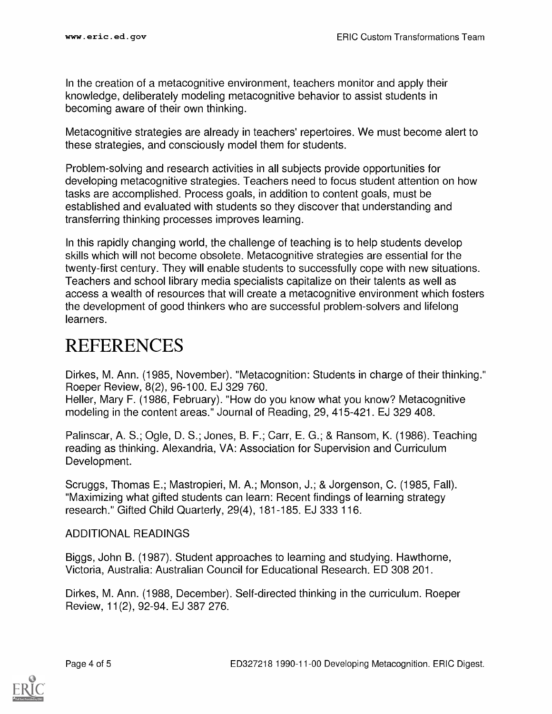In the creation of a metacognitive environment, teachers monitor and apply their knowledge, deliberately modeling metacognitive behavior to assist students in becoming aware of their own thinking.

Metacognitive strategies are already in teachers' repertoires. We must become alert to these strategies, and consciously model them for students.

Problem-solving and research activities in all subjects provide opportunities for developing metacognitive strategies. Teachers need to focus student attention on how tasks are accomplished. Process goals, in addition to content goals, must be established and evaluated with students so they discover that understanding and transferring thinking processes improves learning.

In this rapidly changing world, the challenge of teaching is to help students develop skills which will not become obsolete. Metacognitive strategies are essential for the twenty-first century. They will enable students to successfully cope with new situations. Teachers and school library media specialists capitalize on their talents as well as access a wealth of resources that will create a metacognitive environment which fosters the development of good thinkers who are successful problem-solvers and lifelong learners.

#### REFERENCES

Dirkes, M. Ann. (1985, November). "Metacognition: Students in charge of their thinking." Roeper Review, 8(2), 96-100. EJ 329 760.

Heller, Mary F. (1986, February). "How do you know what you know? Metacognitive modeling in the content areas." Journal of Reading, 29, 415-421. EJ 329 408.

Palinscar, A. S.; Ogle, D. S.; Jones, B. F.; Carr, E. G.; & Ransom, K. (1986). Teaching reading as thinking. Alexandria, VA: Association for Supervision and Curriculum Development.

Scruggs, Thomas E.; Mastropieri, M. A.; Monson, J.; & Jorgenson, C. (1985, Fall). "Maximizing what gifted students can learn: Recent findings of learning strategy research." Gifted Child Quarterly, 29(4), 181-185. EJ 333 116.

#### ADDITIONAL READINGS

Biggs, John B. (1987). Student approaches to learning and studying. Hawthorne, Victoria, Australia: Australian Council for Educational Research. ED 308 201.

Dirkes, M. Ann. (1988, December). Self-directed thinking in the curriculum. Roeper Review, 11(2), 92-94. EJ 387 276.